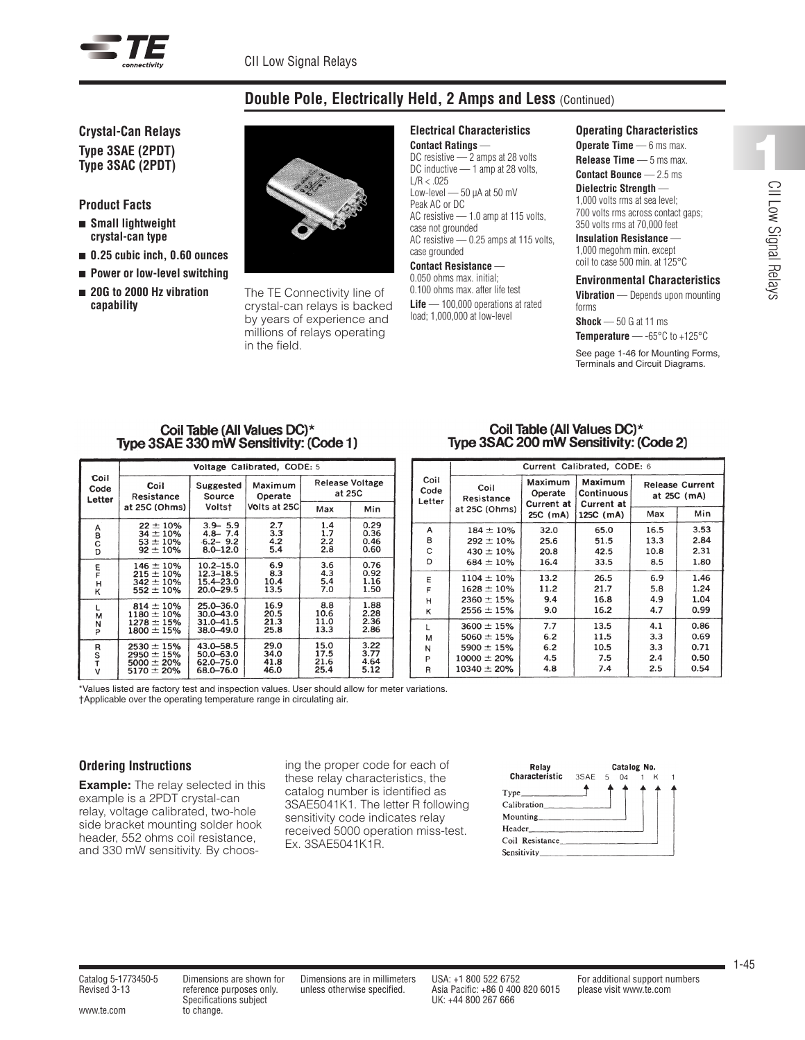

# **Double Pole, Electrically Held, 2 Amps and Less** (Continued)

# **Crystal-Can Relays Type 3SAE (2PDT) Type 3SAC (2PDT)**

## **Product Facts**

- <sup>n</sup> **Small lightweight crystal-can type**
- 0.25 cubic inch, 0.60 ounces
- Power or low-level switching
- 20G to 2000 Hz vibration **capability**



The TE Connectivity line of crystal-can relays is backed by years of experience and millions of relays operating in the field.

#### **Electrical Characteristics Contact Ratings** —

DC resistive — 2 amps at 28 volts DC inductive - 1 amp at 28 volts,  $L/R < .025$ Low-level - 50 µA at 50 mV Peak AC or DC AC resistive — 1.0 amp at 115 volts, case not grounded AC resistive — 0.25 amps at 115 volts, case grounded **Contact Resistance** — 0.050 ohms max. initial;

0.100 ohms max. after life test Life – 100,000 operations at rated load; 1,000,000 at low-level

#### **Operating Characteristics**

**Operate Time** — 6 ms max. **Release Time** — 5 ms max. **Contact Bounce** — 2.5 ms **Dielectric Strength** — 1,000 volts rms at sea level; 700 volts rms across contact gaps; 350 volts rms at 70,000 feet **Insulation Resistance** — 1,000 megohm min. except

## coil to case 500 min. at 125°C

## **Environmental Characteristics**

**Vibration** — Depends upon mounting forms

**Shock** — 50 G at 11 ms

**Temperature** — -65°C to +125°C

See page 1-46 for Mounting Forms, Terminals and Circuit Diagrams.

#### Coil Table (All Values DC)\* Type 3SAE 330 mW Sensitivity: (Code 1)

|                        | Voltage Calibrated, CODE: 5                                              |                                                              |                              |                                  |                              |  |
|------------------------|--------------------------------------------------------------------------|--------------------------------------------------------------|------------------------------|----------------------------------|------------------------------|--|
| Coil<br>Code<br>Letter | Coil<br>Resistance                                                       | Suggested<br>Source                                          | Maximum<br>Operate           | <b>Release Voltage</b><br>at 25C |                              |  |
|                        | at 25C (Ohms)                                                            | Voltst                                                       | Volts at 25C                 | Max                              | Min                          |  |
| A<br>B<br>C<br>D       | $22 \pm 10\%$<br>$34 \pm 10\%$<br>$53 \pm 10\%$<br>$92 \pm 10\%$         | $3.9 - 5.9$<br>$4.8 - 7.4$<br>$-6.2 - 9.2$<br>$8.0 - 12.0$   | 2.7<br>3.3<br>4.2<br>5.4     | 1.4<br>1.7<br>2.2<br>2.8         | 0.29<br>0.36<br>0.46<br>0.60 |  |
| F<br>F<br>Η<br>κ       | $146 \pm 10\%$<br>$215 \pm 10\%$<br>$342 \pm 10\%$<br>$552 \pm 10\%$     | $10.2 - 15.0$<br>$12.3 - 18.5$<br>15.4–23.0<br>$20.0 - 29.5$ | 6.9<br>8.3<br>10.4<br>13.5   | 3.6<br>4.3<br>5.4<br>7.0         | 0.76<br>0.92<br>1.16<br>1.50 |  |
| L<br>М<br>N<br>P       | $814 \pm 10\%$<br>$1180 \pm 10 \%$<br>$1278 \pm 15\%$<br>$1800 \pm 15\%$ | 25.0-36.0<br>$30.0 - 43.0$<br>31.0 - 41.5<br>38.0-49.0       | 16.9<br>20.5<br>21.3<br>25.8 | 8.8<br>10.6<br>11.0<br>13.3      | 1.88<br>2.28<br>2.36<br>2.86 |  |
| R<br>S<br>T<br>$\vee$  | $2530 \pm 15\%$<br>2950 $\pm$ 15%<br>$5000 \pm 20\%$<br>$5170 \pm 20\%$  | 43.0 - 58.5<br>$50.0 - 63.0$<br>62.0-75.0<br>68.0-76.0       | 29.0<br>34.0<br>41.8<br>46.0 | 15.0<br>17.5<br>21.6<br>25.4     | 3.22<br>3.77<br>4.64<br>5.12 |  |

## Coil Table (All Values DC)\* Type 3SAC 200 mW Sensitivity: (Code 2)

|                        | Current Calibrated, CODE: 6 |                                  |                                     |                                       |      |
|------------------------|-----------------------------|----------------------------------|-------------------------------------|---------------------------------------|------|
| Coil<br>Code<br>Letter | Coil<br>Resistance          | Maximum<br>Operate<br>Current at | Maximum<br>Continuous<br>Current at | <b>Release Current</b><br>at 25C (mA) |      |
|                        | at 25C (Ohms)               | 25C (mA)                         | 125C (mA)                           | Max                                   | Min  |
| А                      | $184 \pm 10 \%$             | 32.0                             | 65.0                                | 16.5                                  | 3.53 |
| в                      | $292 \pm 10\%$              | 25.6                             | 51.5                                | 13.3                                  | 2.84 |
| C                      | $430 \pm 10\%$              | 20.8                             | 42.5                                | 10.8                                  | 2.31 |
| D                      | $684 \pm 10\%$              | 16.4                             | 33.5                                | 8.5                                   | 1.80 |
| E                      | $1104 \pm 10\%$             | 13.2                             | 26.5                                | 6.9                                   | 1.46 |
| F                      | $1628 \pm 10\%$             | 11.2                             | 21.7                                | 5.8                                   | 1.24 |
| н                      | $2360 \pm 15%$              | 9.4                              | 16.8                                | 4.9                                   | 1.04 |
| κ                      | $2556 \pm 15\%$             | 9.0                              | 16.2                                | 4.7                                   | 0.99 |
| ı.                     | $3600 \pm 15%$              | 7.7                              | 13.5                                | 4.1                                   | 0.86 |
| м                      | $5060 \pm 15%$              | 6.2                              | 11.5                                | 3.3                                   | 0.69 |
| И                      | $5900 \pm 15\%$             | 6.2                              | 10.5                                | 3.3                                   | 0.71 |
| P                      | $10000 \pm 20\%$            | 4.5                              | 7.5                                 | 2.4                                   | 0.50 |
| R                      | $10340 \pm 20\%$            | 4.8                              | 7.4                                 | 2.5                                   | 0.54 |

\*Values listed are factory test and inspection values. User should allow for meter variations. †Applicable over the operating temperature range in circulating air.

## **Ordering Instructions**

**Example:** The relay selected in this example is a 2PDT crystal-can relay, voltage calibrated, two-hole side bracket mounting solder hook header, 552 ohms coil resistance, and 330 mW sensitivity. By choosing the proper code for each of these relay characteristics, the catalog number is identified as 3SAE5041K1. The letter R following sensitivity code indicates relay received 5000 operation miss-test. Ex. 3SAE5041K1R.



CII Low Signal Relays

Specifications subject UK: +44 800 267 666 www.te.com to change.

Revised 3-13 reference purposes only. unless otherwise specified. Asia Pacific: +86 0 400 820 6015 please visit www.te.com

Catalog 5-1773450-5 Dimensions are shown for Dimensions are in millimeters USA: +1 800 522 6752 For additional support numbers